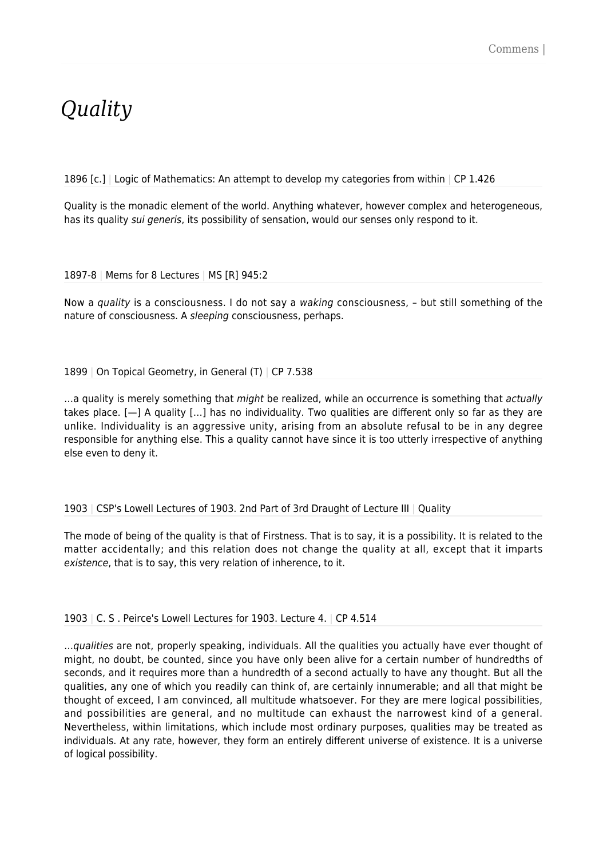## *Quality*

1896 [c.] Logic of Mathematics: An attempt to develop my categories from within  $\vert$  CP 1.426

Quality is the monadic element of the world. Anything whatever, however complex and heterogeneous, has its quality *sui generis*, its possibility of sensation, would our senses only respond to it.

1897-8 | Mems for 8 Lectures | MS [R] 945:2

Now a quality is a consciousness. I do not say a waking consciousness, - but still something of the nature of consciousness. A sleeping consciousness, perhaps.

## 1899 | On Topical Geometry, in General (T) | CP 7.538

...a quality is merely something that might be realized, while an occurrence is something that actually takes place. [—] A quality […] has no individuality. Two qualities are different only so far as they are unlike. Individuality is an aggressive unity, arising from an absolute refusal to be in any degree responsible for anything else. This a quality cannot have since it is too utterly irrespective of anything else even to deny it.

1903 | CSP's Lowell Lectures of 1903. 2nd Part of 3rd Draught of Lecture III | Quality

The mode of being of the quality is that of Firstness. That is to say, it is a possibility. It is related to the matter accidentally; and this relation does not change the quality at all, except that it imparts existence, that is to say, this very relation of inherence, to it.

1903 | C. S . Peirce's Lowell Lectures for 1903. Lecture 4. | CP 4.514

…qualities are not, properly speaking, individuals. All the qualities you actually have ever thought of might, no doubt, be counted, since you have only been alive for a certain number of hundredths of seconds, and it requires more than a hundredth of a second actually to have any thought. But all the qualities, any one of which you readily can think of, are certainly innumerable; and all that might be thought of exceed, I am convinced, all multitude whatsoever. For they are mere logical possibilities, and possibilities are general, and no multitude can exhaust the narrowest kind of a general. Nevertheless, within limitations, which include most ordinary purposes, qualities may be treated as individuals. At any rate, however, they form an entirely different universe of existence. It is a universe of logical possibility.